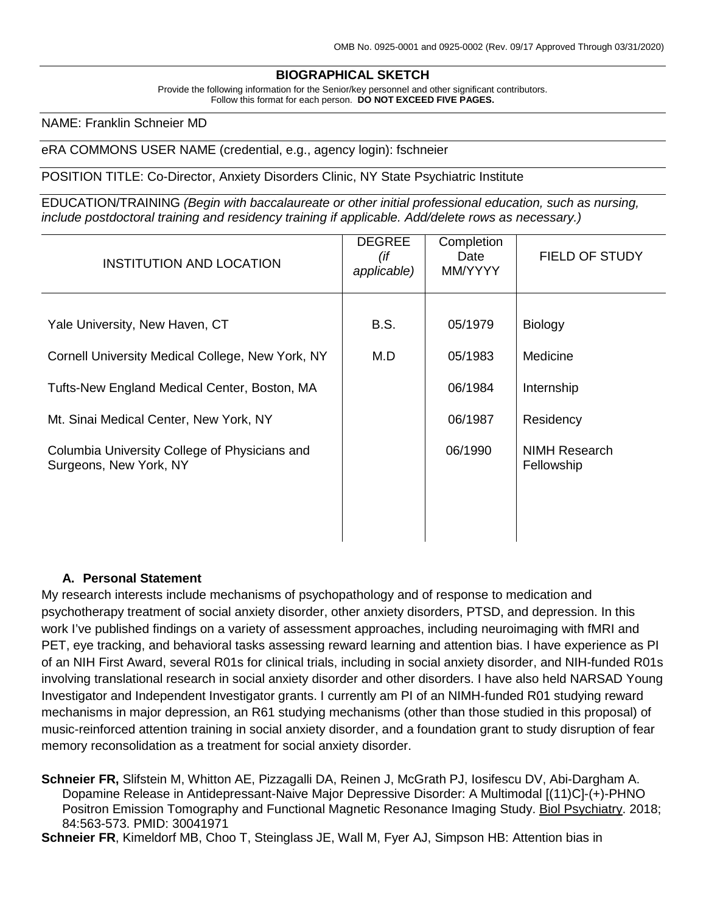#### **BIOGRAPHICAL SKETCH**

Provide the following information for the Senior/key personnel and other significant contributors. Follow this format for each person. **DO NOT EXCEED FIVE PAGES.**

NAME: Franklin Schneier MD

#### eRA COMMONS USER NAME (credential, e.g., agency login): fschneier

POSITION TITLE: Co-Director, Anxiety Disorders Clinic, NY State Psychiatric Institute

EDUCATION/TRAINING *(Begin with baccalaureate or other initial professional education, such as nursing, include postdoctoral training and residency training if applicable. Add/delete rows as necessary.)*

| <b>INSTITUTION AND LOCATION</b>                                         | <b>DEGREE</b><br>(if<br>applicable) | Completion<br>Date<br>MM/YYYY | FIELD OF STUDY              |
|-------------------------------------------------------------------------|-------------------------------------|-------------------------------|-----------------------------|
|                                                                         |                                     |                               |                             |
| Yale University, New Haven, CT                                          | B.S.                                | 05/1979                       | <b>Biology</b>              |
| Cornell University Medical College, New York, NY                        | M.D                                 | 05/1983                       | Medicine                    |
| Tufts-New England Medical Center, Boston, MA                            |                                     | 06/1984                       | Internship                  |
| Mt. Sinai Medical Center, New York, NY                                  |                                     | 06/1987                       | Residency                   |
| Columbia University College of Physicians and<br>Surgeons, New York, NY |                                     | 06/1990                       | NIMH Research<br>Fellowship |

#### **A. Personal Statement**

My research interests include mechanisms of psychopathology and of response to medication and psychotherapy treatment of social anxiety disorder, other anxiety disorders, PTSD, and depression. In this work I've published findings on a variety of assessment approaches, including neuroimaging with fMRI and PET, eye tracking, and behavioral tasks assessing reward learning and attention bias. I have experience as PI of an NIH First Award, several R01s for clinical trials, including in social anxiety disorder, and NIH-funded R01s involving translational research in social anxiety disorder and other disorders. I have also held NARSAD Young Investigator and Independent Investigator grants. I currently am PI of an NIMH-funded R01 studying reward mechanisms in major depression, an R61 studying mechanisms (other than those studied in this proposal) of music-reinforced attention training in social anxiety disorder, and a foundation grant to study disruption of fear memory reconsolidation as a treatment for social anxiety disorder.

**Schneier FR,** Slifstein M, Whitton AE, Pizzagalli DA, Reinen J, McGrath PJ, Iosifescu DV, Abi-Dargham A. Dopamine Release in Antidepressant-Naive Major Depressive Disorder: A Multimodal [(11)C]-(+)-PHNO Positron Emission Tomography and Functional Magnetic Resonance Imaging Study. Biol Psychiatry. 2018; 84:563-573. PMID: 30041971

**Schneier FR**, Kimeldorf MB, Choo T, Steinglass JE, Wall M, Fyer AJ, Simpson HB: Attention bias in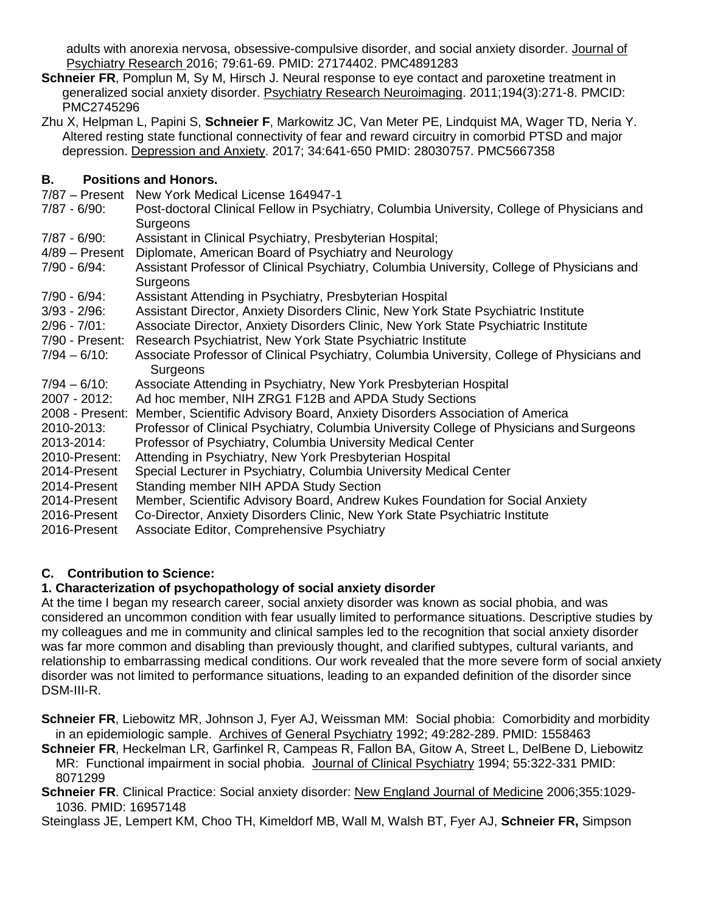adults with anorexia nervosa, obsessive-compulsive disorder, and social anxiety disorder. Journal of Psychiatry Research 2016; 79:61-69. PMID: 27174402. PMC4891283

- **Schneier FR**, Pomplun M, Sy M, Hirsch J. Neural response to eye contact and paroxetine treatment in generalized social anxiety disorder. Psychiatry Research Neuroimaging. 2011;194(3):271-8. PMCID: PMC2745296
- Zhu X, Helpman L, Papini S, **Schneier F**, Markowitz JC, Van Meter PE, Lindquist MA, Wager TD, Neria Y. Altered resting state functional connectivity of fear and reward circuitry in comorbid PTSD and major depression. Depression and Anxiety. 2017; 34:641-650 PMID: 28030757. PMC5667358

## **B. Positions and Honors.**

- 7/87 Present New York Medical License 164947-1
- Post-doctoral Clinical Fellow in Psychiatry, Columbia University, College of Physicians and **Surgeons**
- 7/87 6/90: Assistant in Clinical Psychiatry, Presbyterian Hospital;
- 4/89 Present Diplomate, American Board of Psychiatry and Neurology
- 7/90 6/94: Assistant Professor of Clinical Psychiatry, Columbia University, College of Physicians and **Surgeons**
- 7/90 6/94: Assistant Attending in Psychiatry, Presbyterian Hospital
- 3/93 2/96: Assistant Director, Anxiety Disorders Clinic, New York State Psychiatric Institute
- 2/96 7/01: Associate Director, Anxiety Disorders Clinic, New York State Psychiatric Institute
- 7/90 Present: Research Psychiatrist, New York State Psychiatric Institute<br>7/94 6/10: Associate Professor of Clinical Psychiatry, Columbia Univer
- Associate Professor of Clinical Psychiatry, Columbia University, College of Physicians and Surgeons
- 7/94 6/10: Associate Attending in Psychiatry, New York Presbyterian Hospital
- 2007 2012: Ad hoc member, NIH ZRG1 F12B and APDA Study Sections
- 2008 Present: Member, Scientific Advisory Board, Anxiety Disorders Association of America
- 2010-2013: Professor of Clinical Psychiatry, Columbia University College of Physicians andSurgeons 2013-2014: Professor of Psychiatry, Columbia University Medical Center
- 2010-Present: Attending in Psychiatry, New York Presbyterian Hospital
- 2014-Present Special Lecturer in Psychiatry, Columbia University Medical Center
- 2014-Present Standing member NIH APDA Study Section
- 2014-Present Member, Scientific Advisory Board, Andrew Kukes Foundation for Social Anxiety<br>2016-Present Co-Director, Anxiety Disorders Clinic, New York State Psychiatric Institute
- Co-Director, Anxiety Disorders Clinic, New York State Psychiatric Institute
- 2016-Present Associate Editor, Comprehensive Psychiatry

## **C. Contribution to Science:**

## **1. Characterization of psychopathology of social anxiety disorder**

At the time I began my research career, social anxiety disorder was known as social phobia, and was considered an uncommon condition with fear usually limited to performance situations. Descriptive studies by my colleagues and me in community and clinical samples led to the recognition that social anxiety disorder was far more common and disabling than previously thought, and clarified subtypes, cultural variants, and relationship to embarrassing medical conditions. Our work revealed that the more severe form of social anxiety disorder was not limited to performance situations, leading to an expanded definition of the disorder since DSM-III-R.

**Schneier FR**, Liebowitz MR, Johnson J, Fyer AJ, Weissman MM: Social phobia: Comorbidity and morbidity in an epidemiologic sample. Archives of General Psychiatry 1992; 49:282-289. PMID: 1558463

**Schneier FR**, Heckelman LR, Garfinkel R, Campeas R, Fallon BA, Gitow A, Street L, DelBene D, Liebowitz MR: Functional impairment in social phobia. Journal of Clinical Psychiatry 1994; 55:322-331 PMID: 8071299

Schneier FR. Clinical Practice: Social anxiety disorder: New England Journal of Medicine 2006;355:1029-1036. PMID: 16957148

Steinglass JE, Lempert KM, Choo TH, Kimeldorf MB, Wall M, Walsh BT, Fyer AJ, **Schneier FR,** Simpson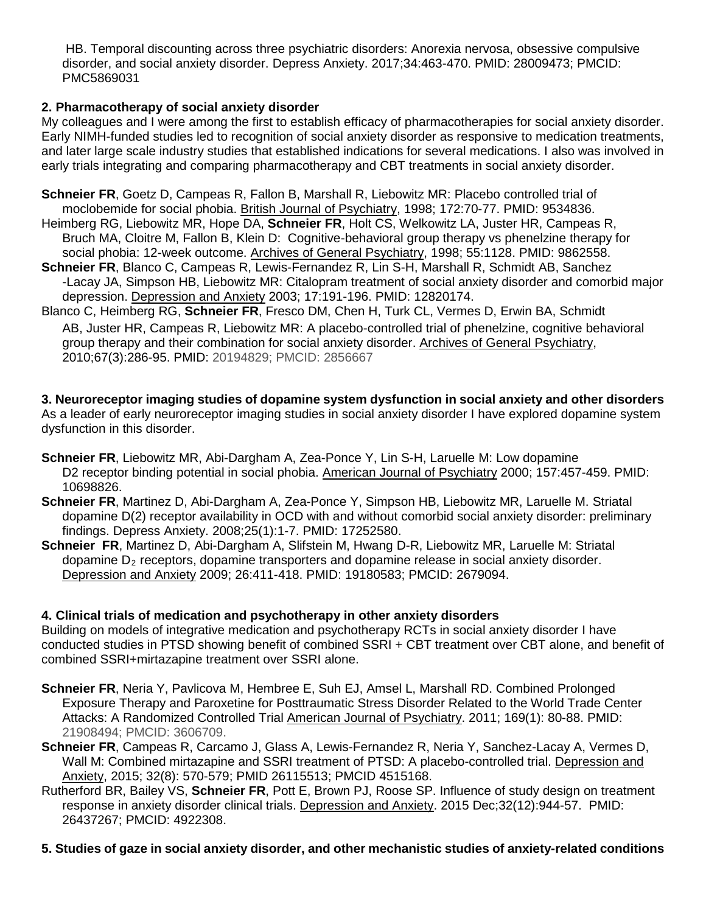HB. Temporal discounting across three psychiatric disorders: Anorexia nervosa, obsessive compulsive disorder, and social anxiety disorder. Depress Anxiety. 2017;34:463-470. PMID: 28009473; PMCID: PMC5869031

## **2. Pharmacotherapy of social anxiety disorder**

My colleagues and I were among the first to establish efficacy of pharmacotherapies for social anxiety disorder. Early NIMH-funded studies led to recognition of social anxiety disorder as responsive to medication treatments, and later large scale industry studies that established indications for several medications. I also was involved in early trials integrating and comparing pharmacotherapy and CBT treatments in social anxiety disorder.

**Schneier FR**, Goetz D, Campeas R, Fallon B, Marshall R, Liebowitz MR: Placebo controlled trial of moclobemide for social phobia. British Journal of Psychiatry, 1998; 172:70-77. PMID: 9534836.

- Heimberg RG, Liebowitz MR, Hope DA, **Schneier FR**, Holt CS, Welkowitz LA, Juster HR, Campeas R, Bruch MA, Cloitre M, Fallon B, Klein D: Cognitive-behavioral group therapy vs phenelzine therapy for social phobia: 12-week outcome. Archives of General Psychiatry, 1998; 55:1128. PMID: 9862558.
- **Schneier FR**, Blanco C, Campeas R, Lewis-Fernandez R, Lin S-H, Marshall R, Schmidt AB, Sanchez -Lacay JA, Simpson HB, Liebowitz MR: Citalopram treatment of social anxiety disorder and comorbid major depression. Depression and Anxiety 2003; 17:191-196. PMID: 12820174.
- Blanco C, Heimberg RG, **Schneier FR**, Fresco DM, Chen H, Turk CL, Vermes D, Erwin BA, Schmidt AB, Juster HR, Campeas R, Liebowitz MR: A placebo-controlled trial of phenelzine, cognitive behavioral group therapy and their combination for social anxiety disorder. Archives of General Psychiatry, 2010;67(3):286-95. PMID: 20194829; PMCID: 2856667

**3. Neuroreceptor imaging studies of dopamine system dysfunction in social anxiety and other disorders** As a leader of early neuroreceptor imaging studies in social anxiety disorder I have explored dopamine system dysfunction in this disorder.

- **Schneier FR**, Liebowitz MR, Abi-Dargham A, Zea-Ponce Y, Lin S-H, Laruelle M: Low dopamine D2 receptor binding potential in social phobia. American Journal of Psychiatry 2000; 157:457-459. PMID: 10698826.
- **Schneier FR**, Martinez D, Abi-Dargham A, Zea-Ponce Y, Simpson HB, Liebowitz MR, Laruelle M. Striatal dopamine D(2) receptor availability in OCD with and without comorbid social anxiety disorder: preliminary findings. Depress Anxiety. 2008;25(1):1-7. PMID: 17252580.
- **Schneier FR**, Martinez D, Abi-Dargham A, Slifstein M, Hwang D-R, Liebowitz MR, Laruelle M: Striatal dopamine  $D<sub>2</sub>$  receptors, dopamine transporters and dopamine release in social anxiety disorder. Depression and Anxiety 2009; 26:411-418. PMID: 19180583; PMCID: 2679094.

# **4. Clinical trials of medication and psychotherapy in other anxiety disorders**

Building on models of integrative medication and psychotherapy RCTs in social anxiety disorder I have conducted studies in PTSD showing benefit of combined SSRI + CBT treatment over CBT alone, and benefit of combined SSRI+mirtazapine treatment over SSRI alone.

- **Schneier FR**, Neria Y, Pavlicova M, Hembree E, Suh EJ, Amsel L, Marshall RD. Combined Prolonged Exposure Therapy and Paroxetine for Posttraumatic Stress Disorder Related to the World Trade Center Attacks: A Randomized Controlled Trial American Journal of Psychiatry. 2011; 169(1): 80-88. PMID: 21908494; PMCID: 3606709.
- **Schneier FR**, Campeas R, Carcamo J, Glass A, Lewis-Fernandez R, Neria Y, Sanchez-Lacay A, Vermes D, Wall M: Combined mirtazapine and SSRI treatment of PTSD: A placebo-controlled trial. Depression and Anxiety, 2015; 32(8): 570-579; PMID 26115513; PMCID 4515168.
- Rutherford BR, Bailey VS, **Schneier FR**, Pott E, Brown PJ, Roose SP. Influence of study design on treatment response in anxiety disorder clinical trials. Depression and Anxiety. 2015 Dec;32(12):944-57. PMID: 26437267; PMCID: 4922308.
- **5. Studies of gaze in social anxiety disorder, and other mechanistic studies of anxiety-related conditions**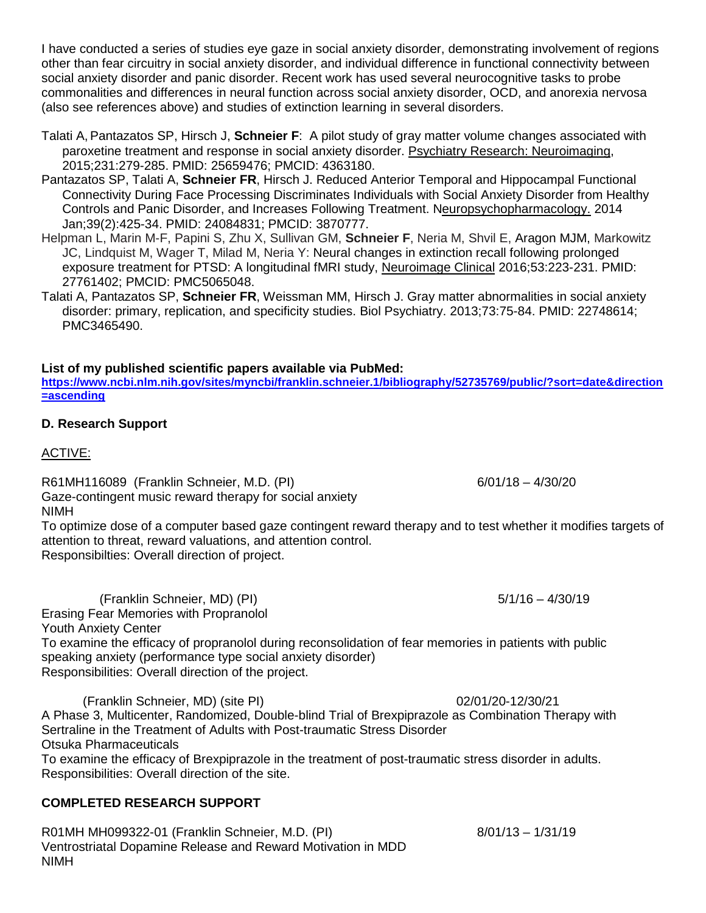I have conducted a series of studies eye gaze in social anxiety disorder, demonstrating involvement of regions other than fear circuitry in social anxiety disorder, and individual difference in functional connectivity between social anxiety disorder and panic disorder. Recent work has used several neurocognitive tasks to probe commonalities and differences in neural function across social anxiety disorder, OCD, and anorexia nervosa (also see references above) and studies of extinction learning in several disorders.

- Talati A, Pantazatos SP, Hirsch J, **Schneier F**: A pilot study of gray matter volume changes associated with paroxetine treatment and response in social anxiety disorder. Psychiatry Research: Neuroimaging, 2015;231:279-285. PMID: 25659476; PMCID: 4363180.
- Pantazatos SP, Talati A, **Schneier FR**, Hirsch J. Reduced Anterior Temporal and Hippocampal Functional Connectivity During Face Processing Discriminates Individuals with Social Anxiety Disorder from Healthy Controls and Panic Disorder, and Increases Following Treatment. Neuropsychopharmacology. 2014 Jan;39(2):425-34. PMID: 24084831; PMCID: 3870777.
- Helpman L, Marin M-F, Papini S, Zhu X, Sullivan GM, **Schneier F**, Neria M, Shvil E, Aragon MJM, Markowitz JC, Lindquist M, Wager T, Milad M, Neria Y: Neural changes in extinction recall following prolonged exposure treatment for PTSD: A longitudinal fMRI study, Neuroimage Clinical 2016;53:223-231. PMID: 27761402; PMCID: PMC5065048.
- Talati A, Pantazatos SP, **Schneier FR**, Weissman MM, Hirsch J. Gray matter abnormalities in social anxiety disorder: primary, replication, and specificity studies. Biol Psychiatry. 2013;73:75-84. PMID: 22748614; PMC3465490.

## **List of my published scientific papers available via PubMed:**

**[https://www.ncbi.nlm.nih.gov/sites/myncbi/franklin.schneier.1/bibliography/52735769/public/?sort=date&direction](https://www.ncbi.nlm.nih.gov/sites/myncbi/franklin.schneier.1/bibliography/52735769/public/?sort=date&direction=ascending) [=ascending](https://www.ncbi.nlm.nih.gov/sites/myncbi/franklin.schneier.1/bibliography/52735769/public/?sort=date&direction=ascending)**

#### **D. Research Support**

#### ACTIVE:

R61MH116089 (Franklin Schneier, M.D. (PI) 6/01/18 - 4/30/20

Gaze-contingent music reward therapy for social anxiety NIMH

To optimize dose of a computer based gaze contingent reward therapy and to test whether it modifies targets of attention to threat, reward valuations, and attention control. Responsibilties: Overall direction of project.

(Franklin Schneier, MD) (PI) 5/1/16 – 4/30/19 Erasing Fear Memories with Propranolol Youth Anxiety Center To examine the efficacy of propranolol during reconsolidation of fear memories in patients with public speaking anxiety (performance type social anxiety disorder) Responsibilities: Overall direction of the project.

(Franklin Schneier, MD) (site PI) 02/01/20-12/30/21 A Phase 3, Multicenter, Randomized, Double-blind Trial of Brexpiprazole as Combination Therapy with Sertraline in the Treatment of Adults with Post-traumatic Stress Disorder Otsuka Pharmaceuticals To examine the efficacy of Brexpiprazole in the treatment of post-traumatic stress disorder in adults. Responsibilities: Overall direction of the site.

## **COMPLETED RESEARCH SUPPORT**

R01MH MH099322-01 (Franklin Schneier, M.D. (PI) 8/01/13 - 1/31/19 Ventrostriatal Dopamine Release and Reward Motivation in MDD NIMH